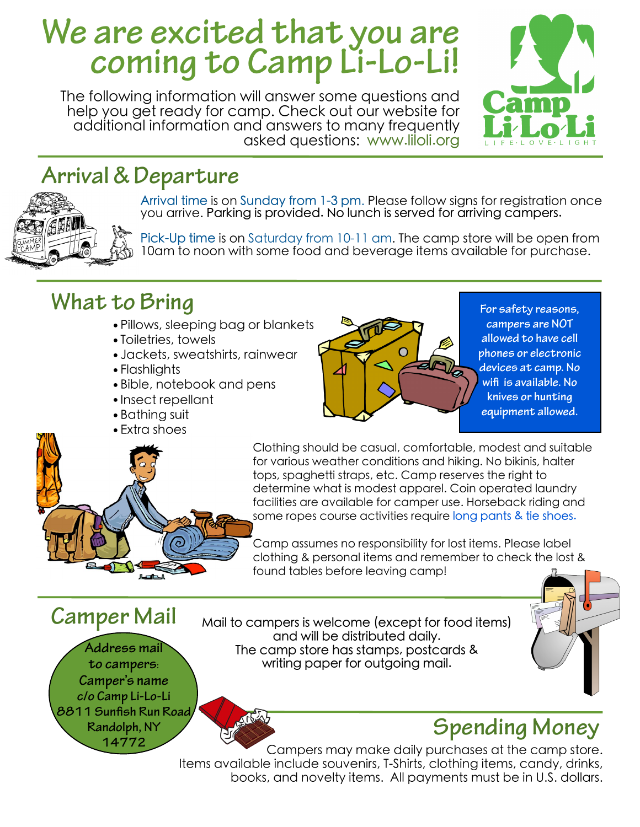# **We are excited that you are coming to Camp Li-Lo-Li!**

The following information will answer some questions and help you get ready for camp. Check out our website for additional information and answers to many frequently asked questions: www.liloli.org



# **Arrival & Departure**



Arrival time is on Sunday from 1-3 pm. Please follow signs for registration once you arrive. Parking is provided. No lunch is served for arriving campers.

Pick-Up time is on Saturday from 10-11 am. The camp store will be open from 10am to noon with some food and beverage items available for purchase.

# **What to Bring**

- •Pillows, sleeping bag or blankets
- •Toiletries, towels
- •Jackets, sweatshirts, rainwear
- •Flashlights
- •Bible, notebook and pens
- •Insect repellant
- •Bathing suit
- •Extra shoes



**For safety reasons, campers are NOT allowed to have cell phones or electronic devices at camp. No wifi is available. No knives or hunting equipment allowed.**

Clothing should be casual, comfortable, modest and suitable for various weather conditions and hiking. No bikinis, halter tops, spaghetti straps, etc. Camp reserves the right to determine what is modest apparel. Coin operated laundry facilities are available for camper use. Horseback riding and some ropes course activities require long pants & tie shoes.

Camp assumes no responsibility for lost items. Please label clothing & personal items and remember to check the lost & found tables before leaving camp!

**Address mail to campers: Camper's name c/o Camp Li-Lo-Li 8811 Sunfish Run Road Randolph, NY 14772 Camper Mail**

Mail to campers is welcome (except for food items) and will be distributed daily. The camp store has stamps, postcards & writing paper for outgoing mail.



# **Spending Money**

Campers may make daily purchases at the camp store. Items available include souvenirs, T-Shirts, clothing items, candy, drinks, books, and novelty items. All payments must be in U.S. dollars.